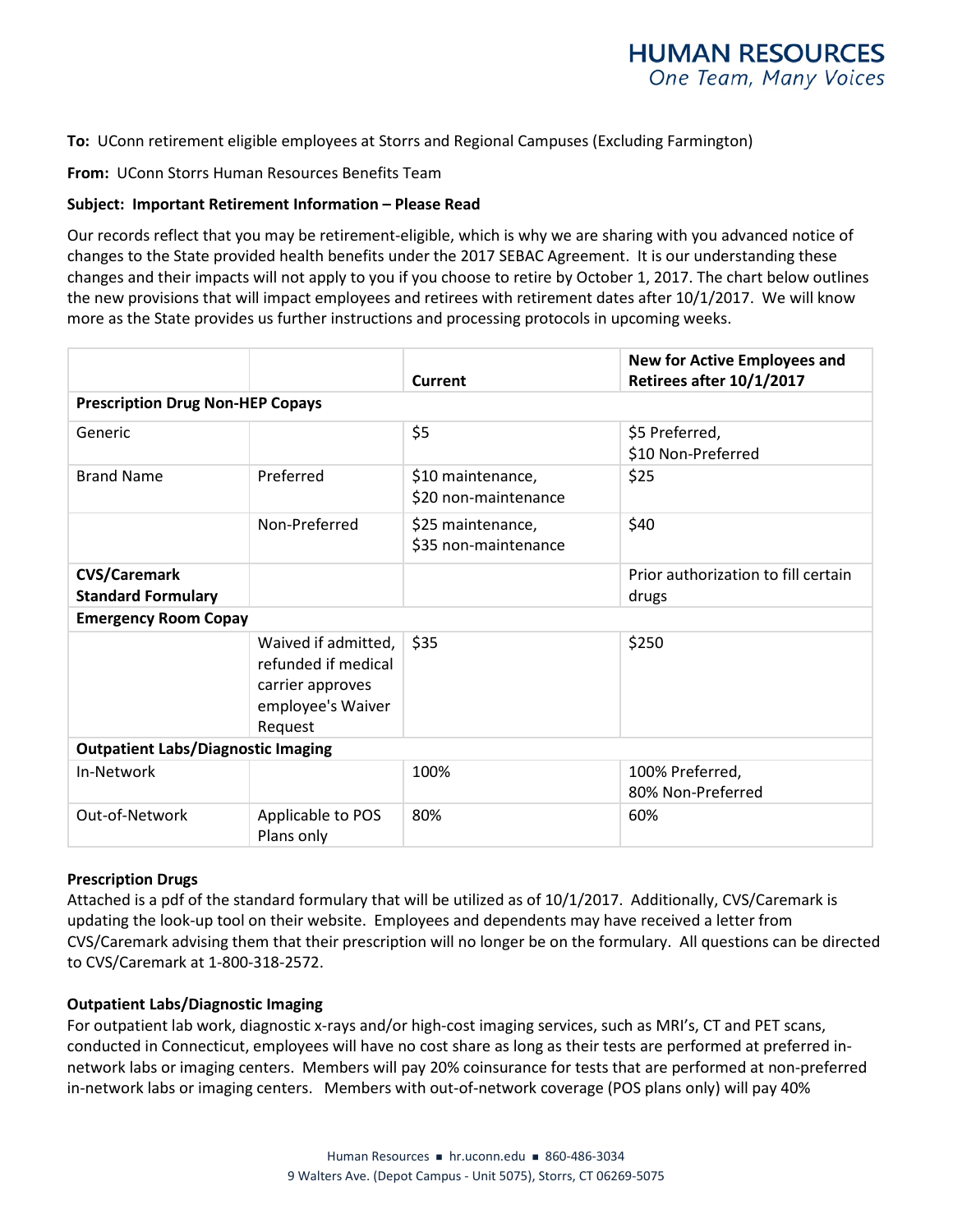**To:** UConn retirement eligible employees at Storrs and Regional Campuses (Excluding Farmington)

**From:** UConn Storrs Human Resources Benefits Team

### **Subject: Important Retirement Information – Please Read**

Our records reflect that you may be retirement-eligible, which is why we are sharing with you advanced notice of changes to the State provided health benefits under the 2017 SEBAC Agreement. It is our understanding these changes and their impacts will not apply to you if you choose to retire by October 1, 2017. The chart below outlines the new provisions that will impact employees and retirees with retirement dates after 10/1/2017. We will know more as the State provides us further instructions and processing protocols in upcoming weeks.

|                                                  |                                                                                                | <b>Current</b>                            | <b>New for Active Employees and</b><br>Retirees after 10/1/2017 |
|--------------------------------------------------|------------------------------------------------------------------------------------------------|-------------------------------------------|-----------------------------------------------------------------|
| <b>Prescription Drug Non-HEP Copays</b>          |                                                                                                |                                           |                                                                 |
| Generic                                          |                                                                                                | \$5                                       | \$5 Preferred,<br>\$10 Non-Preferred                            |
| <b>Brand Name</b>                                | Preferred                                                                                      | \$10 maintenance,<br>\$20 non-maintenance | \$25                                                            |
|                                                  | Non-Preferred                                                                                  | \$25 maintenance,<br>\$35 non-maintenance | \$40                                                            |
| <b>CVS/Caremark</b><br><b>Standard Formulary</b> |                                                                                                |                                           | Prior authorization to fill certain<br>drugs                    |
| <b>Emergency Room Copay</b>                      |                                                                                                |                                           |                                                                 |
|                                                  | Waived if admitted,<br>refunded if medical<br>carrier approves<br>employee's Waiver<br>Request | \$35                                      | \$250                                                           |
| <b>Outpatient Labs/Diagnostic Imaging</b>        |                                                                                                |                                           |                                                                 |
| In-Network                                       |                                                                                                | 100%                                      | 100% Preferred,<br>80% Non-Preferred                            |
| Out-of-Network                                   | Applicable to POS<br>Plans only                                                                | 80%                                       | 60%                                                             |

### **Prescription Drugs**

Attached is a pdf of the standard formulary that will be utilized as of 10/1/2017. Additionally, CVS/Caremark is updating the look-up tool on their website. Employees and dependents may have received a letter from CVS/Caremark advising them that their prescription will no longer be on the formulary. All questions can be directed to CVS/Caremark at 1-800-318-2572.

### **Outpatient Labs/Diagnostic Imaging**

For outpatient lab work, diagnostic x-rays and/or high-cost imaging services, such as MRI's, CT and PET scans, conducted in Connecticut, employees will have no cost share as long as their tests are performed at preferred innetwork labs or imaging centers. Members will pay 20% coinsurance for tests that are performed at non-preferred in-network labs or imaging centers. Members with out-of-network coverage (POS plans only) will pay 40%